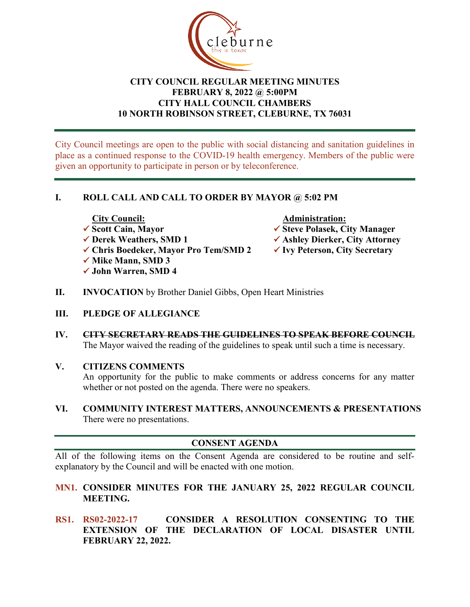

# **CITY COUNCIL REGULAR MEETING MINUTES FEBRUARY 8, 2022 @ 5:00PM CITY HALL COUNCIL CHAMBERS 10 NORTH ROBINSON STREET, CLEBURNE, TX 76031**

City Council meetings are open to the public with social distancing and sanitation guidelines in place as a continued response to the COVID-19 health emergency. Members of the public were given an opportunity to participate in person or by teleconference.

# **I. ROLL CALL AND CALL TO ORDER BY MAYOR @ 5:02 PM**

- 
- 
- **Chris Boedeker, Mayor Pro Tem/SMD 2 Ivy Peterson, City Secretary**
- **√ Mike Mann, SMD 3**
- **John Warren, SMD 4**

- City Council: <br>
√ Scott Cain, Mayor <br>
∧ Administration: <br>
∧ Administration: <br>
∧ Administration: <br>
∧ Administration: <br>
∧ Administration: <br>
∧ Administration: <br>
∧ Administration: <br>
∧ Steve Polasek, Ci **Scott Cain, Mayor Steve Polasek, City Manager**
- **Derek Weathers, SMD 1 Ashley Dierker, City Attorney**
	-
- **II. INVOCATION** by Brother Daniel Gibbs, Open Heart Ministries
- **III. PLEDGE OF ALLEGIANCE**
- **IV. CITY SECRETARY READS THE GUIDELINES TO SPEAK BEFORE COUNCIL** The Mayor waived the reading of the guidelines to speak until such a time is necessary.
- **V. CITIZENS COMMENTS**

An opportunity for the public to make comments or address concerns for any matter whether or not posted on the agenda. There were no speakers.

**VI. COMMUNITY INTEREST MATTERS, ANNOUNCEMENTS & PRESENTATIONS** There were no presentations.

# **CONSENT AGENDA**

All of the following items on the Consent Agenda are considered to be routine and selfexplanatory by the Council and will be enacted with one motion.

- **MN1. CONSIDER MINUTES FOR THE JANUARY 25, 2022 REGULAR COUNCIL MEETING.**
- **RS1. RS02-2022-17 CONSIDER A RESOLUTION CONSENTING TO THE EXTENSION OF THE DECLARATION OF LOCAL DISASTER UNTIL FEBRUARY 22, 2022.**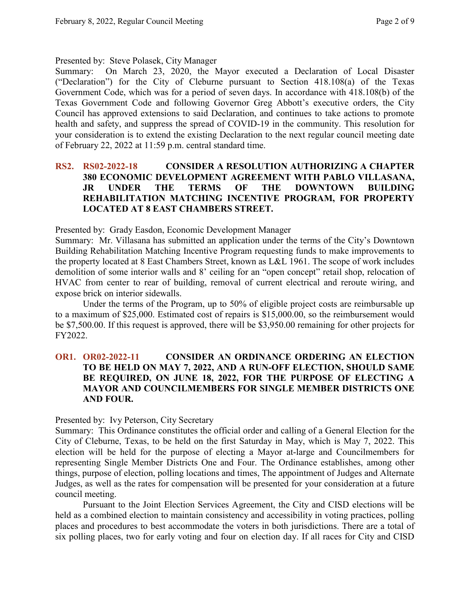Presented by: Steve Polasek, City Manager

Summary: On March 23, 2020, the Mayor executed a Declaration of Local Disaster ("Declaration") for the City of Cleburne pursuant to Section 418.108(a) of the Texas Government Code, which was for a period of seven days. In accordance with 418.108(b) of the Texas Government Code and following Governor Greg Abbott's executive orders, the City Council has approved extensions to said Declaration, and continues to take actions to promote health and safety, and suppress the spread of COVID-19 in the community. This resolution for your consideration is to extend the existing Declaration to the next regular council meeting date of February 22, 2022 at 11:59 p.m. central standard time.

## **RS2. RS02-2022-18 CONSIDER A RESOLUTION AUTHORIZING A CHAPTER 380 ECONOMIC DEVELOPMENT AGREEMENT WITH PABLO VILLASANA, JR UNDER THE TERMS OF THE DOWNTOWN BUILDING REHABILITATION MATCHING INCENTIVE PROGRAM, FOR PROPERTY LOCATED AT 8 EAST CHAMBERS STREET.**

Presented by: Grady Easdon, Economic Development Manager

Summary: Mr. Villasana has submitted an application under the terms of the City's Downtown Building Rehabilitation Matching Incentive Program requesting funds to make improvements to the property located at 8 East Chambers Street, known as L&L 1961. The scope of work includes demolition of some interior walls and 8' ceiling for an "open concept" retail shop, relocation of HVAC from center to rear of building, removal of current electrical and reroute wiring, and expose brick on interior sidewalls.

Under the terms of the Program, up to 50% of eligible project costs are reimbursable up to a maximum of \$25,000. Estimated cost of repairs is \$15,000.00, so the reimbursement would be \$7,500.00. If this request is approved, there will be \$3,950.00 remaining for other projects for FY2022.

## **OR1. OR02-2022-11 CONSIDER AN ORDINANCE ORDERING AN ELECTION TO BE HELD ON MAY 7, 2022, AND A RUN-OFF ELECTION, SHOULD SAME BE REQUIRED, ON JUNE 18, 2022, FOR THE PURPOSE OF ELECTING A MAYOR AND COUNCILMEMBERS FOR SINGLE MEMBER DISTRICTS ONE AND FOUR.**

Presented by: Ivy Peterson, City Secretary

Summary: This Ordinance constitutes the official order and calling of a General Election for the City of Cleburne, Texas, to be held on the first Saturday in May, which is May 7, 2022. This election will be held for the purpose of electing a Mayor at-large and Councilmembers for representing Single Member Districts One and Four. The Ordinance establishes, among other things, purpose of election, polling locations and times, The appointment of Judges and Alternate Judges, as well as the rates for compensation will be presented for your consideration at a future council meeting.

Pursuant to the Joint Election Services Agreement, the City and CISD elections will be held as a combined election to maintain consistency and accessibility in voting practices, polling places and procedures to best accommodate the voters in both jurisdictions. There are a total of six polling places, two for early voting and four on election day. If all races for City and CISD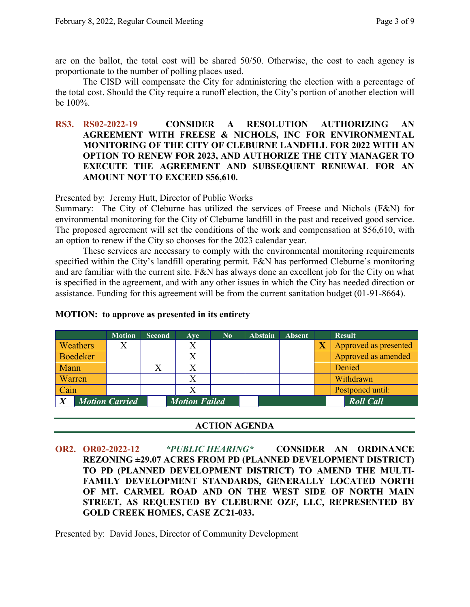are on the ballot, the total cost will be shared 50/50. Otherwise, the cost to each agency is proportionate to the number of polling places used.

The CISD will compensate the City for administering the election with a percentage of the total cost. Should the City require a runoff election, the City's portion of another election will be 100%.

### **RS3. RS02-2022-19 CONSIDER A RESOLUTION AUTHORIZING AN AGREEMENT WITH FREESE & NICHOLS, INC FOR ENVIRONMENTAL MONITORING OF THE CITY OF CLEBURNE LANDFILL FOR 2022 WITH AN OPTION TO RENEW FOR 2023, AND AUTHORIZE THE CITY MANAGER TO EXECUTE THE AGREEMENT AND SUBSEQUENT RENEWAL FOR AN AMOUNT NOT TO EXCEED \$56,610.**

Presented by: Jeremy Hutt, Director of Public Works

Summary: The City of Cleburne has utilized the services of Freese and Nichols (F&N) for environmental monitoring for the City of Cleburne landfill in the past and received good service. The proposed agreement will set the conditions of the work and compensation at \$56,610, with an option to renew if the City so chooses for the 2023 calendar year.

These services are necessary to comply with the environmental monitoring requirements specified within the City's landfill operating permit. F&N has performed Cleburne's monitoring and are familiar with the current site. F&N has always done an excellent job for the City on what is specified in the agreement, and with any other issues in which the City has needed direction or assistance. Funding for this agreement will be from the current sanitation budget (01-91-8664).

|        |                 | <b>Motion</b>         | <b>Second</b> | Ave                  | $\bf No$ | <b>Abstain</b> | <b>Absent</b> |                         | <b>Result</b>         |
|--------|-----------------|-----------------------|---------------|----------------------|----------|----------------|---------------|-------------------------|-----------------------|
|        | Weathers        |                       |               |                      |          |                |               | $\overline{\textbf{X}}$ | Approved as presented |
|        | <b>Boedeker</b> |                       |               | X                    |          |                |               |                         | Approved as amended   |
| Mann   |                 |                       |               |                      |          |                |               |                         | Denied                |
| Warren |                 |                       |               | X                    |          |                |               |                         | Withdrawn             |
| Cain   |                 |                       |               |                      |          |                |               |                         | Postponed until:      |
|        |                 | <b>Motion Carried</b> |               | <b>Motion Failed</b> |          |                |               |                         | <b>Roll Call</b>      |

#### **MOTION: to approve as presented in its entirety**

#### **ACTION AGENDA**

**OR2. OR02-2022-12** *\*PUBLIC HEARING\** **CONSIDER AN ORDINANCE REZONING ±29.07 ACRES FROM PD (PLANNED DEVELOPMENT DISTRICT) TO PD (PLANNED DEVELOPMENT DISTRICT) TO AMEND THE MULTI-FAMILY DEVELOPMENT STANDARDS, GENERALLY LOCATED NORTH OF MT. CARMEL ROAD AND ON THE WEST SIDE OF NORTH MAIN STREET, AS REQUESTED BY CLEBURNE OZF, LLC, REPRESENTED BY GOLD CREEK HOMES, CASE ZC21-033.**

Presented by: David Jones, Director of Community Development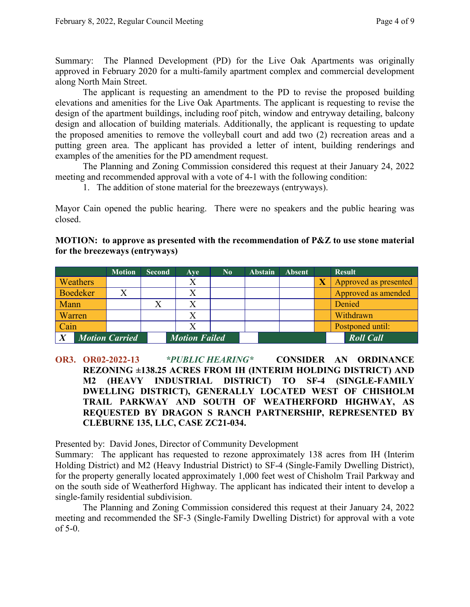Summary: The Planned Development (PD) for the Live Oak Apartments was originally approved in February 2020 for a multi-family apartment complex and commercial development along North Main Street.

The applicant is requesting an amendment to the PD to revise the proposed building elevations and amenities for the Live Oak Apartments. The applicant is requesting to revise the design of the apartment buildings, including roof pitch, window and entryway detailing, balcony design and allocation of building materials. Additionally, the applicant is requesting to update the proposed amenities to remove the volleyball court and add two (2) recreation areas and a putting green area. The applicant has provided a letter of intent, building renderings and examples of the amenities for the PD amendment request.

The Planning and Zoning Commission considered this request at their January 24, 2022 meeting and recommended approval with a vote of 4-1 with the following condition:

1. The addition of stone material for the breezeways (entryways).

Mayor Cain opened the public hearing. There were no speakers and the public hearing was closed.

| <b>MOTION:</b> to approve as presented with the recommendation of $P\&Z$ to use stone material |  |  |
|------------------------------------------------------------------------------------------------|--|--|
| for the breezeways (entryways)                                                                 |  |  |

|                       | <b>Motion</b> | <b>Second</b>        | Ave | $\bf No$ | <b>Abstain</b> | <b>Absent</b>    | <b>Result</b>         |
|-----------------------|---------------|----------------------|-----|----------|----------------|------------------|-----------------------|
| <b>Weathers</b>       |               |                      |     |          |                |                  | Approved as presented |
| Boedeker              |               |                      |     |          |                |                  | Approved as amended   |
| Mann                  |               |                      |     |          |                |                  | Denied                |
| Warren                |               |                      |     |          |                |                  | Withdrawn             |
| Cain                  |               |                      |     |          |                |                  | Postponed until:      |
| <b>Motion Carried</b> |               | <b>Motion Failed</b> |     |          |                | <b>Roll Call</b> |                       |

**OR3. OR02-2022-13** *\*PUBLIC HEARING\** **CONSIDER AN ORDINANCE REZONING ±138.25 ACRES FROM IH (INTERIM HOLDING DISTRICT) AND M2 (HEAVY INDUSTRIAL DISTRICT) TO SF-4 (SINGLE-FAMILY DWELLING DISTRICT), GENERALLY LOCATED WEST OF CHISHOLM TRAIL PARKWAY AND SOUTH OF WEATHERFORD HIGHWAY, AS REQUESTED BY DRAGON S RANCH PARTNERSHIP, REPRESENTED BY CLEBURNE 135, LLC, CASE ZC21-034.**

Presented by: David Jones, Director of Community Development

Summary: The applicant has requested to rezone approximately 138 acres from IH (Interim Holding District) and M2 (Heavy Industrial District) to SF-4 (Single-Family Dwelling District), for the property generally located approximately 1,000 feet west of Chisholm Trail Parkway and on the south side of Weatherford Highway. The applicant has indicated their intent to develop a single-family residential subdivision.

The Planning and Zoning Commission considered this request at their January 24, 2022 meeting and recommended the SF-3 (Single-Family Dwelling District) for approval with a vote of 5-0.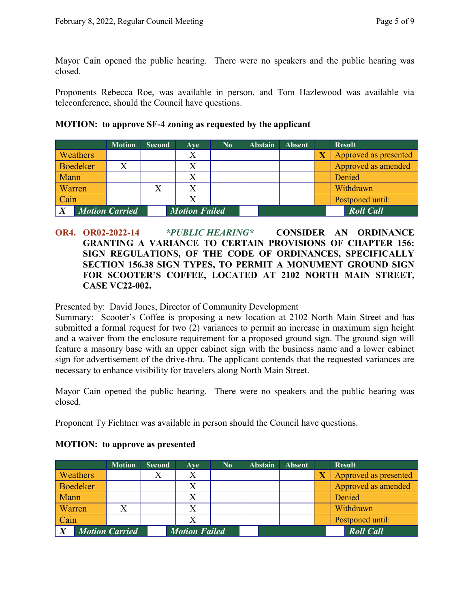Mayor Cain opened the public hearing. There were no speakers and the public hearing was closed.

Proponents Rebecca Roe, was available in person, and Tom Hazlewood was available via teleconference, should the Council have questions.

### **MOTION: to approve SF-4 zoning as requested by the applicant**

|        |                 | <b>Motion</b>         | <b>Second</b> | Ave                  | No. | <b>Abstain</b> | <b>Absent</b> |                         | <b>Result</b>         |
|--------|-----------------|-----------------------|---------------|----------------------|-----|----------------|---------------|-------------------------|-----------------------|
|        | Weathers        |                       |               | Χ                    |     |                |               | $\overline{\textbf{X}}$ | Approved as presented |
|        | <b>Boedeker</b> |                       |               |                      |     |                |               |                         | Approved as amended   |
| Mann   |                 |                       |               |                      |     |                |               |                         | Denied                |
| Warren |                 |                       |               | X                    |     |                |               |                         | Withdrawn             |
| Cain   |                 |                       |               | Χ                    |     |                |               |                         | Postponed until:      |
|        |                 | <b>Motion Carried</b> |               | <b>Motion Failed</b> |     |                |               |                         | <b>Roll Call</b>      |

**OR4. OR02-2022-14** *\*PUBLIC HEARING\** **CONSIDER AN ORDINANCE GRANTING A VARIANCE TO CERTAIN PROVISIONS OF CHAPTER 156: SIGN REGULATIONS, OF THE CODE OF ORDINANCES, SPECIFICALLY SECTION 156.38 SIGN TYPES, TO PERMIT A MONUMENT GROUND SIGN FOR SCOOTER'S COFFEE, LOCATED AT 2102 NORTH MAIN STREET, CASE VC22-002.**

Presented by: David Jones, Director of Community Development

Summary: Scooter's Coffee is proposing a new location at 2102 North Main Street and has submitted a formal request for two (2) variances to permit an increase in maximum sign height and a waiver from the enclosure requirement for a proposed ground sign. The ground sign will feature a masonry base with an upper cabinet sign with the business name and a lower cabinet sign for advertisement of the drive-thru. The applicant contends that the requested variances are necessary to enhance visibility for travelers along North Main Street.

Mayor Cain opened the public hearing. There were no speakers and the public hearing was closed.

Proponent Ty Fichtner was available in person should the Council have questions.

|               |                 | <b>Motion</b>         | <b>Second</b> | Ave                  | $\mathbf{N_0}$ | <b>Abstain</b> | <b>Absent</b> | <b>Result</b>         |
|---------------|-----------------|-----------------------|---------------|----------------------|----------------|----------------|---------------|-----------------------|
|               | <b>Weathers</b> |                       |               |                      |                |                |               | Approved as presented |
|               | Boedeker        |                       |               |                      |                |                |               | Approved as amended   |
| Mann          |                 |                       |               |                      |                |                |               | Denied                |
| <b>Warren</b> |                 |                       |               |                      |                |                |               | Withdrawn             |
| Cain          |                 |                       |               |                      |                |                |               | Postponed until:      |
|               |                 | <b>Motion Carried</b> |               | <b>Motion Failed</b> |                |                |               | <b>Roll Call</b>      |

#### **MOTION: to approve as presented**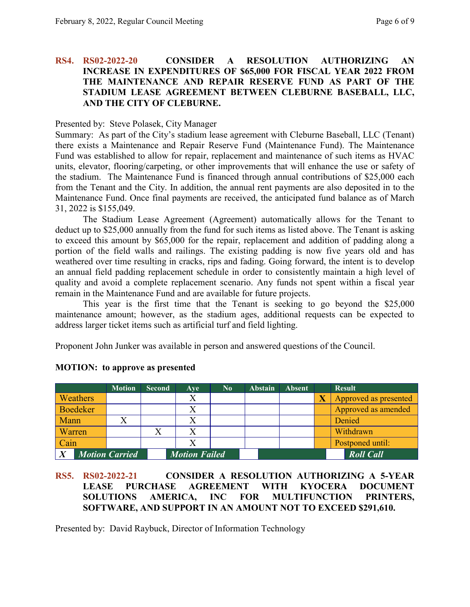## **RS4. RS02-2022-20 CONSIDER A RESOLUTION AUTHORIZING AN INCREASE IN EXPENDITURES OF \$65,000 FOR FISCAL YEAR 2022 FROM THE MAINTENANCE AND REPAIR RESERVE FUND AS PART OF THE STADIUM LEASE AGREEMENT BETWEEN CLEBURNE BASEBALL, LLC, AND THE CITY OF CLEBURNE.**

#### Presented by: Steve Polasek, City Manager

Summary: As part of the City's stadium lease agreement with Cleburne Baseball, LLC (Tenant) there exists a Maintenance and Repair Reserve Fund (Maintenance Fund). The Maintenance Fund was established to allow for repair, replacement and maintenance of such items as HVAC units, elevator, flooring/carpeting, or other improvements that will enhance the use or safety of the stadium. The Maintenance Fund is financed through annual contributions of \$25,000 each from the Tenant and the City. In addition, the annual rent payments are also deposited in to the Maintenance Fund. Once final payments are received, the anticipated fund balance as of March 31, 2022 is \$155,049.

The Stadium Lease Agreement (Agreement) automatically allows for the Tenant to deduct up to \$25,000 annually from the fund for such items as listed above. The Tenant is asking to exceed this amount by \$65,000 for the repair, replacement and addition of padding along a portion of the field walls and railings. The existing padding is now five years old and has weathered over time resulting in cracks, rips and fading. Going forward, the intent is to develop an annual field padding replacement schedule in order to consistently maintain a high level of quality and avoid a complete replacement scenario. Any funds not spent within a fiscal year remain in the Maintenance Fund and are available for future projects.

This year is the first time that the Tenant is seeking to go beyond the \$25,000 maintenance amount; however, as the stadium ages, additional requests can be expected to address larger ticket items such as artificial turf and field lighting.

Proponent John Junker was available in person and answered questions of the Council.

|                       | <b>Motion</b> | <b>Second</b>        | Ave | $\bf No$ | <b>Abstain</b> | <b>Absent</b>    | <b>Result</b>         |
|-----------------------|---------------|----------------------|-----|----------|----------------|------------------|-----------------------|
| <b>Weathers</b>       |               |                      | Χ   |          |                |                  | Approved as presented |
| Boedeker              |               |                      |     |          |                |                  | Approved as amended   |
| Mann                  |               |                      |     |          |                |                  | Denied                |
| Warren                |               |                      |     |          |                |                  | Withdrawn             |
| Cain                  |               |                      |     |          |                |                  | Postponed until:      |
| <b>Motion Carried</b> |               | <b>Motion Failed</b> |     |          |                | <b>Roll Call</b> |                       |

#### **MOTION: to approve as presented**

## **RS5. RS02-2022-21 CONSIDER A RESOLUTION AUTHORIZING A 5-YEAR LEASE PURCHASE AGREEMENT WITH KYOCERA DOCUMENT SOLUTIONS AMERICA, INC FOR MULTIFUNCTION PRINTERS, SOFTWARE, AND SUPPORT IN AN AMOUNT NOT TO EXCEED \$291,610.**

Presented by: David Raybuck, Director of Information Technology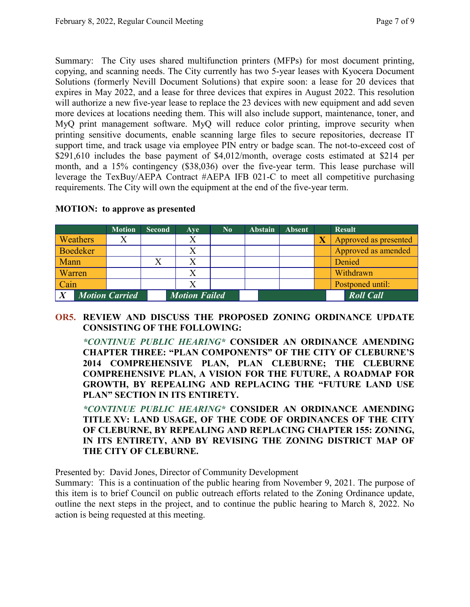Summary: The City uses shared multifunction printers (MFPs) for most document printing, copying, and scanning needs. The City currently has two 5-year leases with Kyocera Document Solutions (formerly Nevill Document Solutions) that expire soon: a lease for 20 devices that expires in May 2022, and a lease for three devices that expires in August 2022. This resolution will authorize a new five-year lease to replace the 23 devices with new equipment and add seven more devices at locations needing them. This will also include support, maintenance, toner, and MyQ print management software. MyQ will reduce color printing, improve security when printing sensitive documents, enable scanning large files to secure repositories, decrease IT support time, and track usage via employee PIN entry or badge scan. The not-to-exceed cost of \$291,610 includes the base payment of \$4,012/month, overage costs estimated at \$214 per month, and a 15% contingency (\$38,036) over the five-year term. This lease purchase will leverage the TexBuy/AEPA Contract #AEPA IFB 021-C to meet all competitive purchasing requirements. The City will own the equipment at the end of the five-year term.

|                 | <b>Motion</b>         | <b>Second</b> | Ave                  | $\bf No$ | <b>Abstain</b> | <b>Absent</b> |                       | <b>Result</b>         |
|-----------------|-----------------------|---------------|----------------------|----------|----------------|---------------|-----------------------|-----------------------|
| <b>Weathers</b> |                       |               |                      |          |                |               | $\overline{\text{X}}$ | Approved as presented |
| Boedeker        |                       |               |                      |          |                |               |                       | Approved as amended   |
| <b>Mann</b>     |                       |               |                      |          |                |               |                       | Denied                |
| <b>Warren</b>   |                       |               |                      |          |                |               |                       | Withdrawn             |
| $\vert$ Cain    |                       |               |                      |          |                |               |                       | Postponed until:      |
| $\overline{X}$  | <b>Motion Carried</b> |               | <b>Motion Failed</b> |          |                |               |                       | <b>Roll Call</b>      |

#### **MOTION: to approve as presented**

**OR5. REVIEW AND DISCUSS THE PROPOSED ZONING ORDINANCE UPDATE CONSISTING OF THE FOLLOWING:**

*\*CONTINUE PUBLIC HEARING\** **CONSIDER AN ORDINANCE AMENDING CHAPTER THREE: "PLAN COMPONENTS" OF THE CITY OF CLEBURNE'S 2014 COMPREHENSIVE PLAN, PLAN CLEBURNE; THE CLEBURNE COMPREHENSIVE PLAN, A VISION FOR THE FUTURE, A ROADMAP FOR GROWTH, BY REPEALING AND REPLACING THE "FUTURE LAND USE PLAN" SECTION IN ITS ENTIRETY.**

*\*CONTINUE PUBLIC HEARING\** **CONSIDER AN ORDINANCE AMENDING TITLE XV: LAND USAGE, OF THE CODE OF ORDINANCES OF THE CITY OF CLEBURNE, BY REPEALING AND REPLACING CHAPTER 155: ZONING, IN ITS ENTIRETY, AND BY REVISING THE ZONING DISTRICT MAP OF THE CITY OF CLEBURNE.**

Presented by: David Jones, Director of Community Development

Summary: This is a continuation of the public hearing from November 9, 2021. The purpose of this item is to brief Council on public outreach efforts related to the Zoning Ordinance update, outline the next steps in the project, and to continue the public hearing to March 8, 2022. No action is being requested at this meeting.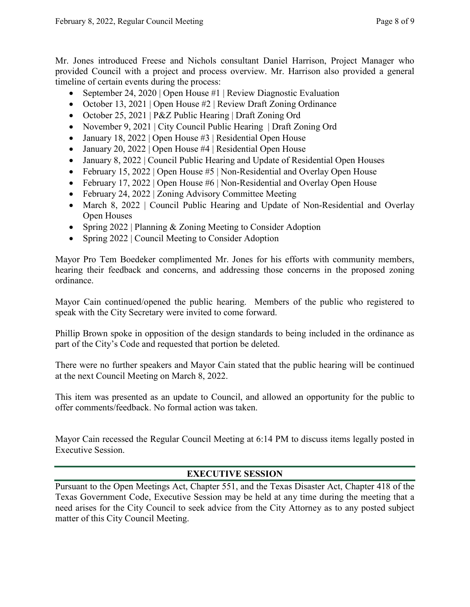Mr. Jones introduced Freese and Nichols consultant Daniel Harrison, Project Manager who provided Council with a project and process overview. Mr. Harrison also provided a general timeline of certain events during the process:

- September 24, 2020 | Open House #1 | Review Diagnostic Evaluation
- October 13, 2021 | Open House #2 | Review Draft Zoning Ordinance
- October 25, 2021 | P&Z Public Hearing | Draft Zoning Ord
- November 9, 2021 | City Council Public Hearing | Draft Zoning Ord
- January 18, 2022 | Open House #3 | Residential Open House
- January 20, 2022 | Open House #4 | Residential Open House
- January 8, 2022 | Council Public Hearing and Update of Residential Open Houses
- February 15, 2022 | Open House #5 | Non-Residential and Overlay Open House
- February 17, 2022 | Open House #6 | Non-Residential and Overlay Open House
- February 24, 2022 | Zoning Advisory Committee Meeting
- March 8, 2022 | Council Public Hearing and Update of Non-Residential and Overlay Open Houses
- Spring 2022 | Planning & Zoning Meeting to Consider Adoption
- Spring 2022 | Council Meeting to Consider Adoption

Mayor Pro Tem Boedeker complimented Mr. Jones for his efforts with community members, hearing their feedback and concerns, and addressing those concerns in the proposed zoning ordinance.

Mayor Cain continued/opened the public hearing. Members of the public who registered to speak with the City Secretary were invited to come forward.

Phillip Brown spoke in opposition of the design standards to being included in the ordinance as part of the City's Code and requested that portion be deleted.

There were no further speakers and Mayor Cain stated that the public hearing will be continued at the next Council Meeting on March 8, 2022.

This item was presented as an update to Council, and allowed an opportunity for the public to offer comments/feedback. No formal action was taken.

Mayor Cain recessed the Regular Council Meeting at 6:14 PM to discuss items legally posted in Executive Session.

# **EXECUTIVE SESSION**

Pursuant to the Open Meetings Act, Chapter 551, and the Texas Disaster Act, Chapter 418 of the Texas Government Code, Executive Session may be held at any time during the meeting that a need arises for the City Council to seek advice from the City Attorney as to any posted subject matter of this City Council Meeting.